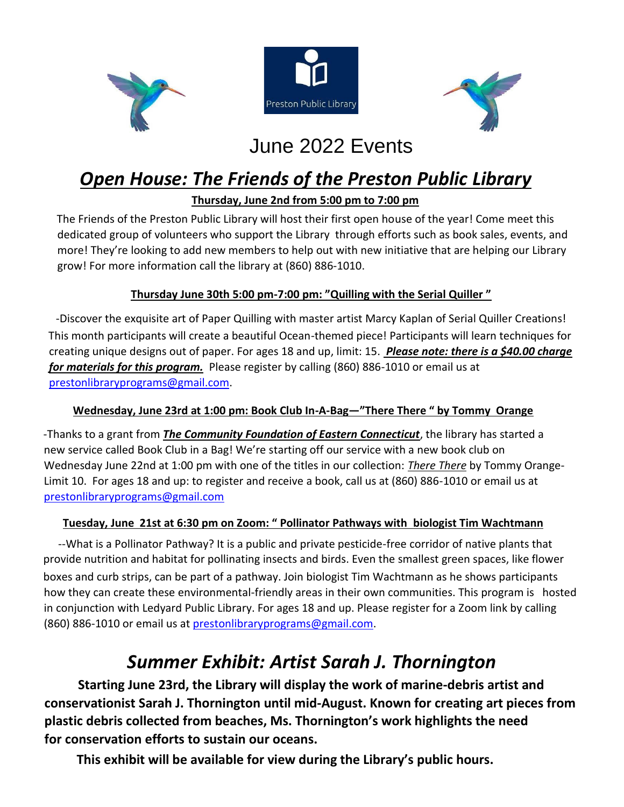





## June 2022 Events

## *Open House: The Friends of the Preston Public Library*

### **Thursday, June 2nd from 5:00 pm to 7:00 pm**

The Friends of the Preston Public Library will host their first open house of the year! Come meet this dedicated group of volunteers who support the Library through efforts such as book sales, events, and more! They're looking to add new members to help out with new initiative that are helping our Library grow! For more information call the library at (860) 886-1010.

### **Thursday June 30th 5:00 pm-7:00 pm: "Quilling with the Serial Quiller "**

-Discover the exquisite art of Paper Quilling with master artist Marcy Kaplan of Serial Quiller Creations! This month participants will create a beautiful Ocean-themed piece! Participants will learn techniques for creating unique designs out of paper. For ages 18 and up, limit: 15. *Please note: there is a \$40.00 charge for materials for this program.* Please register by calling (860) 886-1010 or email us at prestonlibraryprograms@gmail.com.

### **Wednesday, June 23rd at 1:00 pm: Book Club In-A-Bag—"There There " by Tommy Orange**

-Thanks to a grant from *The Community Foundation of Eastern Connecticut*, the library has started a new service called Book Club in a Bag! We're starting off our service with a new book club on Wednesday June 22nd at 1:00 pm with one of the titles in our collection: *There There* by Tommy Orange-Limit 10. For ages 18 and up: to register and receive a book, call us at (860) 886-1010 or email us at prestonlibraryprograms@gmail.com

### **Tuesday, June 21st at 6:30 pm on Zoom: " Pollinator Pathways with****biologist Tim Wachtmann**

--What is a Pollinator Pathway? It is a public and private pesticide-free corridor of native plants that provide nutrition and habitat for pollinating insects and birds. Even the smallest green spaces, like flower boxes and curb strips, can be part of a pathway. Join biologist Tim Wachtmann as he shows participants how they can create these environmental-friendly areas in their own communities. This program is hosted in conjunction with Ledyard Public Library. For ages 18 and up. Please register for a Zoom link by calling (860) 886-1010 or email us at prestonlibraryprograms@gmail.com.

## *Summer Exhibit: Artist Sarah J. Thornington*

**Starting June 23rd, the Library will display the work of marine-debris artist and conservationist Sarah J. Thornington until mid-August. Known for creating art pieces from plastic debris collected from beaches, Ms. Thornington's work highlights the need for conservation efforts to sustain our oceans.** 

 **This exhibit will be available for view during the Library's public hours.**